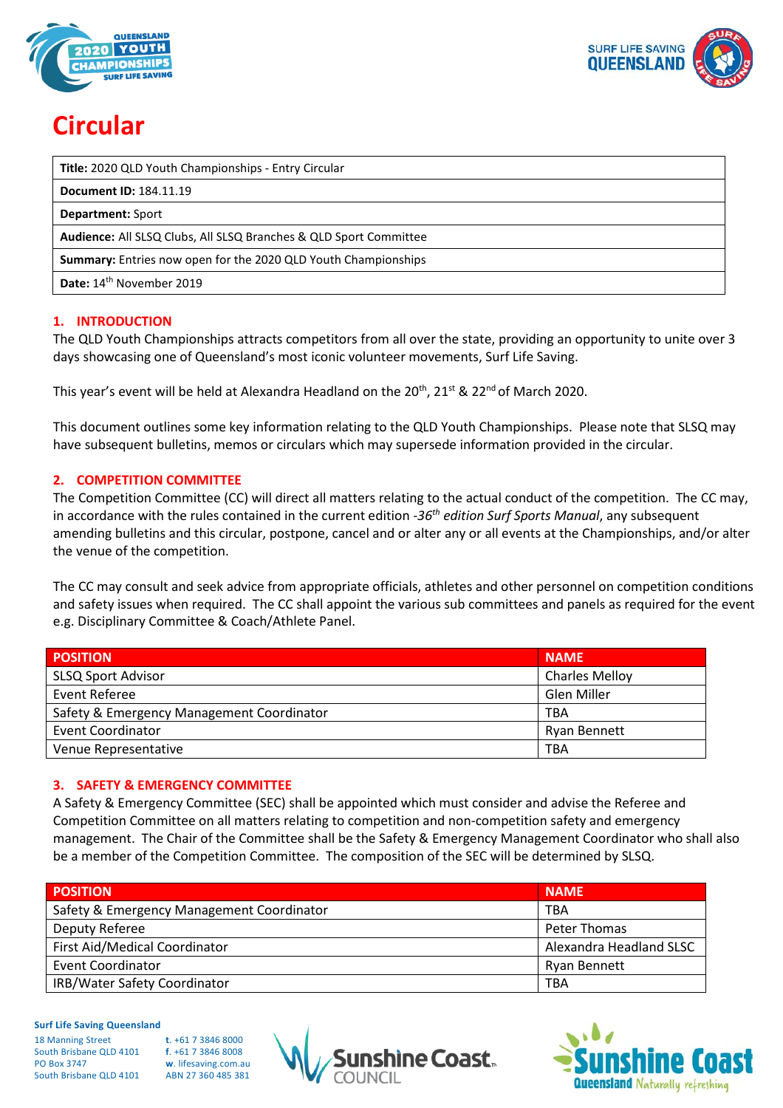



# **Circular**

| Title: 2020 QLD Youth Championships - Entry Circular                  |
|-----------------------------------------------------------------------|
| <b>Document ID: 184.11.19</b>                                         |
| <b>Department: Sport</b>                                              |
| Audience: All SLSQ Clubs, All SLSQ Branches & QLD Sport Committee     |
| <b>Summary:</b> Entries now open for the 2020 QLD Youth Championships |
| Date: 14 <sup>th</sup> November 2019                                  |

# **1. INTRODUCTION**

The QLD Youth Championships attracts competitors from all over the state, providing an opportunity to unite over 3 days showcasing one of Queensland's most iconic volunteer movements, Surf Life Saving.

This year's event will be held at Alexandra Headland on the  $20^{th}$ ,  $21^{st}$  &  $22^{nd}$  of March 2020.

This document outlines some key information relating to the QLD Youth Championships. Please note that SLSQ may have subsequent bulletins, memos or circulars which may supersede information provided in the circular.

# **2. COMPETITION COMMITTEE**

The Competition Committee (CC) will direct all matters relating to the actual conduct of the competition. The CC may, in accordance with the rules contained in the current edition -*36th edition Surf Sports Manual*, any subsequent amending bulletins and this circular, postpone, cancel and or alter any or all events at the Championships, and/or alter the venue of the competition.

The CC may consult and seek advice from appropriate officials, athletes and other personnel on competition conditions and safety issues when required. The CC shall appoint the various sub committees and panels as required for the event e.g. Disciplinary Committee & Coach/Athlete Panel.

| <b>POSITION</b>                           | <b>NAME</b>           |
|-------------------------------------------|-----------------------|
| <b>SLSQ Sport Advisor</b>                 | <b>Charles Melloy</b> |
| Event Referee                             | Glen Miller           |
| Safety & Emergency Management Coordinator | TBA                   |
| <b>Event Coordinator</b>                  | Ryan Bennett          |
| Venue Representative                      | TBA                   |

# **3. SAFETY & EMERGENCY COMMITTEE**

A Safety & Emergency Committee (SEC) shall be appointed which must consider and advise the Referee and Competition Committee on all matters relating to competition and non-competition safety and emergency management. The Chair of the Committee shall be the Safety & Emergency Management Coordinator who shall also be a member of the Competition Committee. The composition of the SEC will be determined by SLSQ.

| <b>POSITION</b>                           | <b>NAME</b>             |
|-------------------------------------------|-------------------------|
| Safety & Emergency Management Coordinator | TBA                     |
| Deputy Referee                            | Peter Thomas            |
| First Aid/Medical Coordinator             | Alexandra Headland SLSC |
| Event Coordinator                         | Ryan Bennett            |
| IRB/Water Safety Coordinator              | TBA                     |

# **Surf Life Saving Queensland**

| <b>18 Manning Street</b> |
|--------------------------|
| South Brisbane QLD 4101  |
| <b>PO Box 3747</b>       |
| South Brisbane QLD 4101  |
|                          |





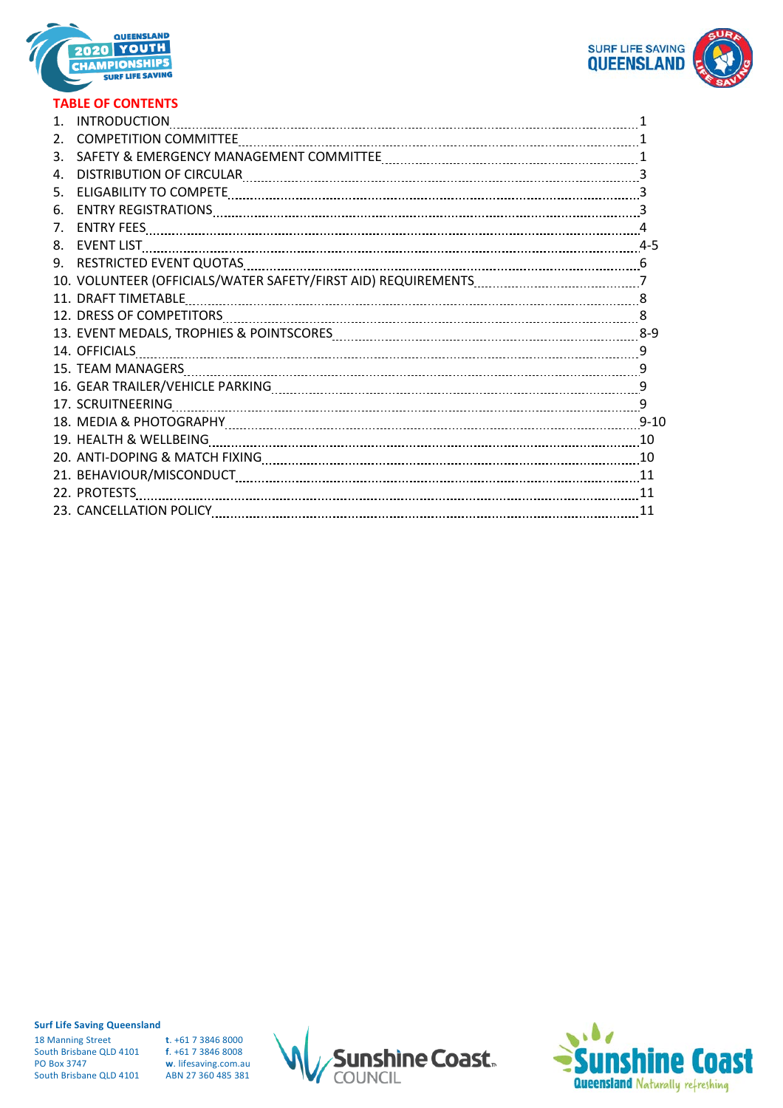



# **TABLE OF CONTENTS**

|             | <b>INTRODUCTION</b>                                                                                                                                                                                                            |    |
|-------------|--------------------------------------------------------------------------------------------------------------------------------------------------------------------------------------------------------------------------------|----|
|             |                                                                                                                                                                                                                                |    |
| 3.          |                                                                                                                                                                                                                                |    |
| 4.          |                                                                                                                                                                                                                                |    |
| 5.          | ELIGABILITY TO COMPETE MARKET AND ACCORDING TO A COMPETE MARKET MARKET MARKET MARKET MARKET MARKET MARKET MARKET MARKET MARKET MARKET MARKET MARKET MARKET MARKET MARKET MARKET MARKET MARKET MARKET MARKET MARKET MARKET MARK |    |
| 6.          |                                                                                                                                                                                                                                |    |
| $7_{\cdot}$ |                                                                                                                                                                                                                                | 4  |
| 8.          | <b>EVENT LIST</b>                                                                                                                                                                                                              |    |
|             |                                                                                                                                                                                                                                |    |
|             |                                                                                                                                                                                                                                |    |
|             | 11. DRAFT TIMETABLE                                                                                                                                                                                                            |    |
|             |                                                                                                                                                                                                                                |    |
|             | 13. EVENT MEDALS, TROPHIES & POINTSCORES [1111] [120] [120] [20] [20] [3-9] [3-9] [3-9] [3-9] [3-9] [3-9] [3-9                                                                                                                 |    |
|             |                                                                                                                                                                                                                                |    |
|             |                                                                                                                                                                                                                                | 9  |
|             |                                                                                                                                                                                                                                | 9  |
|             |                                                                                                                                                                                                                                |    |
|             |                                                                                                                                                                                                                                |    |
|             | 19. HEALTH & WELLBEING Manual Communication and CONTERNATION AND THE MEALTH & WELLBEING                                                                                                                                        |    |
|             |                                                                                                                                                                                                                                |    |
|             |                                                                                                                                                                                                                                |    |
|             | 22. PROTESTS                                                                                                                                                                                                                   | 11 |
|             |                                                                                                                                                                                                                                | 11 |

**Surf Life Saving Queensland**

18 Manning Street **t**. +61 7 3846 8000 South Brisbane QLD 4101<br>**PO Box 3747** South Brisbane QLD 4101

**w**. lifesaving.com.au<br>ABN 27 360 485 381



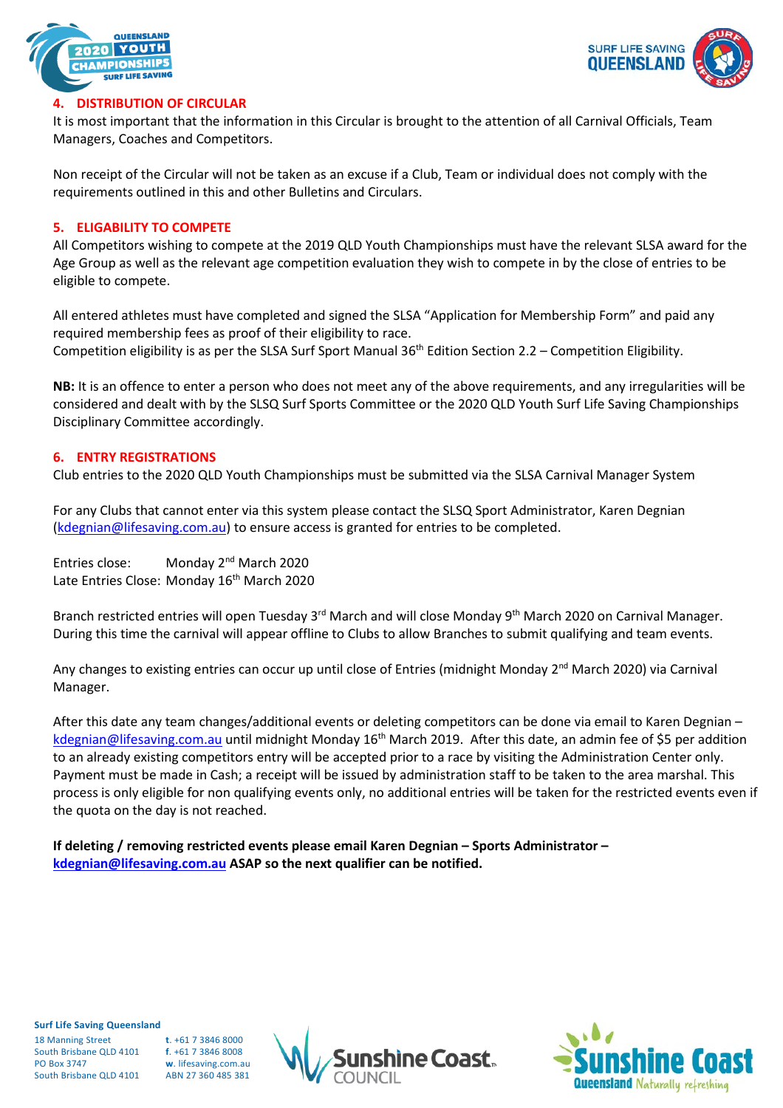



# **4. DISTRIBUTION OF CIRCULAR**

It is most important that the information in this Circular is brought to the attention of all Carnival Officials, Team Managers, Coaches and Competitors.

Non receipt of the Circular will not be taken as an excuse if a Club, Team or individual does not comply with the requirements outlined in this and other Bulletins and Circulars.

#### **5. ELIGABILITY TO COMPETE**

All Competitors wishing to compete at the 2019 QLD Youth Championships must have the relevant SLSA award for the Age Group as well as the relevant age competition evaluation they wish to compete in by the close of entries to be eligible to compete.

All entered athletes must have completed and signed the SLSA "Application for Membership Form" and paid any required membership fees as proof of their eligibility to race. Competition eligibility is as per the SLSA Surf Sport Manual 36<sup>th</sup> Edition Section 2.2 – Competition Eligibility.

**NB:** It is an offence to enter a person who does not meet any of the above requirements, and any irregularities will be considered and dealt with by the SLSQ Surf Sports Committee or the 2020 QLD Youth Surf Life Saving Championships Disciplinary Committee accordingly.

#### **6. ENTRY REGISTRATIONS**

Club entries to the 2020 QLD Youth Championships must be submitted via the SLSA Carnival Manager System

For any Clubs that cannot enter via this system please contact the SLSQ Sport Administrator, Karen Degnian [\(kdegnian@lifesaving.com.au\)](mailto:kdegnian@lifesaving.com.au) to ensure access is granted for entries to be completed.

Entries close: Monday 2<sup>nd</sup> March 2020 Late Entries Close: Monday 16<sup>th</sup> March 2020

Branch restricted entries will open Tuesday 3<sup>rd</sup> March and will close Monday 9<sup>th</sup> March 2020 on Carnival Manager. During this time the carnival will appear offline to Clubs to allow Branches to submit qualifying and team events.

Any changes to existing entries can occur up until close of Entries (midnight Monday 2<sup>nd</sup> March 2020) via Carnival Manager.

After this date any team changes/additional events or deleting competitors can be done via email to Karen Degnian – [kdegnian@lifesaving.com.au](mailto:kdegnian@lifesaving.com.au) until midnight Monday 16<sup>th</sup> March 2019. After this date, an admin fee of \$5 per addition to an already existing competitors entry will be accepted prior to a race by visiting the Administration Center only. Payment must be made in Cash; a receipt will be issued by administration staff to be taken to the area marshal. This process is only eligible for non qualifying events only, no additional entries will be taken for the restricted events even if the quota on the day is not reached.

**If deleting / removing restricted events please email Karen Degnian – Sports Administrator – [kdegnian@lifesaving.com.au](mailto:kdegnian@lifesaving.com.au) ASAP so the next qualifier can be notified.**

**Surf Life Saving Queensland** 18 Manning Street **t**. +61 7 3846 8000 South Brisbane QLD 4101 **f**. +61 7 3846 8008

South Brisbane OLD 4101

PO Box 3747 **w**. lifesaving.com.au



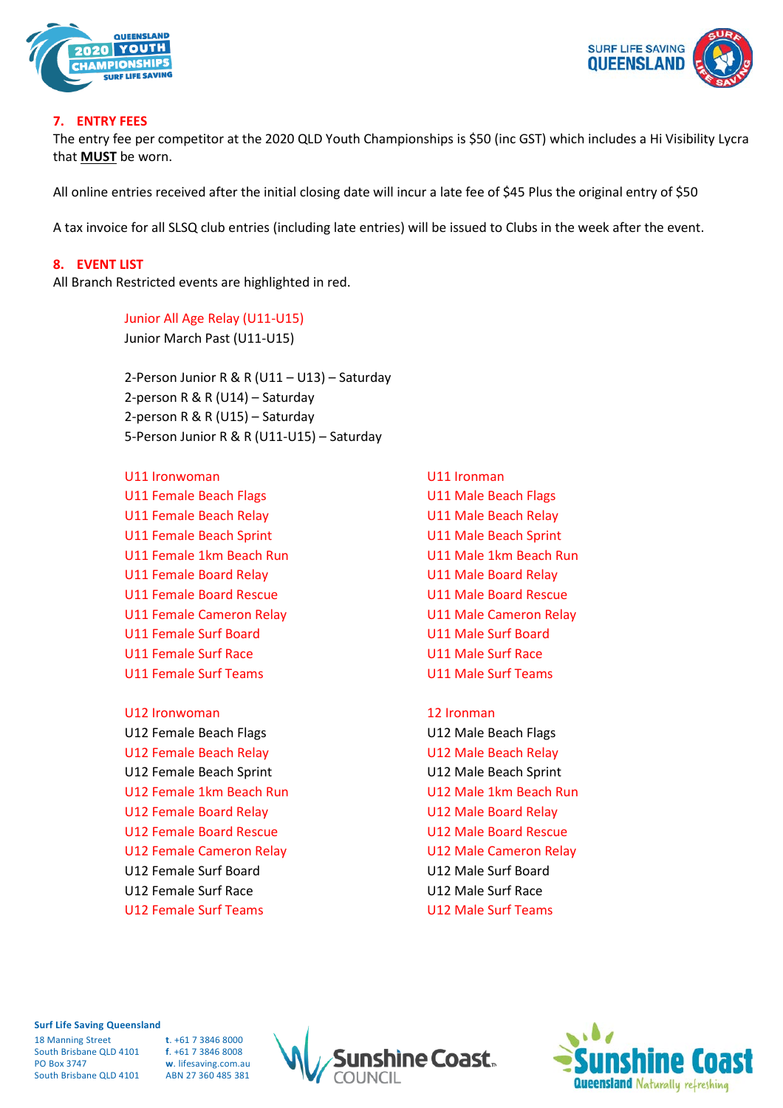



#### **7. ENTRY FEES**

The entry fee per competitor at the 2020 QLD Youth Championships is \$50 (inc GST) which includes a Hi Visibility Lycra that **MUST** be worn.

All online entries received after the initial closing date will incur a late fee of \$45 Plus the original entry of \$50

A tax invoice for all SLSQ club entries (including late entries) will be issued to Clubs in the week after the event.

#### **8. EVENT LIST**

All Branch Restricted events are highlighted in red.

Junior All Age Relay (U11-U15) Junior March Past (U11-U15)

2-Person Junior R & R (U11 – U13) – Saturday 2-person R & R (U14) – Saturday 2-person R & R (U15) – Saturday 5-Person Junior R & R (U11-U15) – Saturday

U11 Ironwoman U11 Ironman U11 Female Beach Flags National Contract Contract U11 Male Beach Flags U11 Female Beach Relay U11 Male Beach Relay U11 Female Beach Sprint U11 Male Beach Sprint U11 Female 1km Beach Run U11 Male 1km Beach Run U11 Female Board Relay New York Canada Board Relay U11 Female Board Rescue U11 Male Board Rescue U11 Female Cameron Relay U11 Male Cameron Relay U11 Female Surf Board U11 Male Surf Board U11 Female Surf Race U11 Male Surf Race U11 Female Surf Teams U11 Male Surf Teams

U12 Ironwoman 12 Ironman U12 Female Beach Flags National Control Control U12 Male Beach Flags U12 Female Beach Relay U12 Male Beach Relay U12 Female Beach Sprint U12 Male Beach Sprint U12 Female 1km Beach Run U12 Male 1km Beach Run U12 Female Board Relay November 2012 Male Board Relay U12 Female Board Rescue U12 Male Board Rescue U12 Female Cameron Relay U12 Male Cameron Relay U12 Female Surf Board U12 Male Surf Board U12 Female Surf Race U12 Male Surf Race U12 Female Surf Teams U12 Male Surf Teams

#### **Surf Life Saving Queensland**

18 Manning Street **t**. +61 7 3846 8000 South Brisbane QLD 4101 **f**. +61 7 3846 8008 PO Box 3747 **w**. lifesaving.com.au South Brisbane OLD 4101



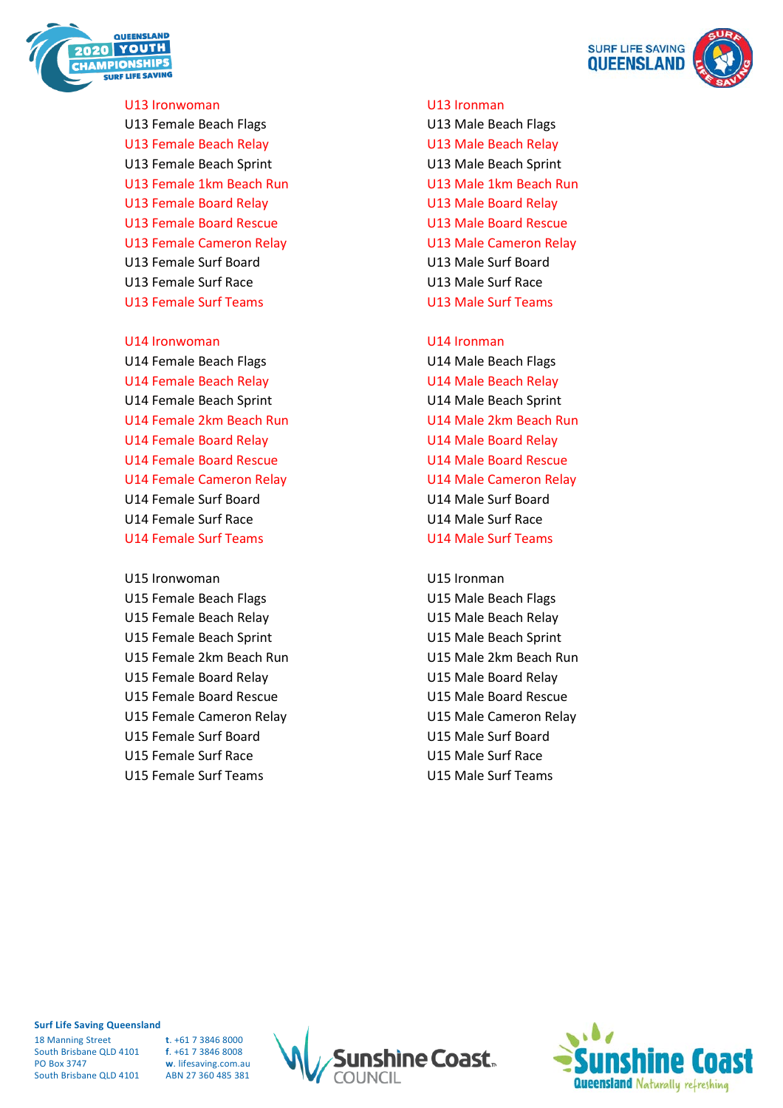

U13 Ironwoman U13 Ironman U13 Female Beach Flags U13 Male Beach Flags U13 Female Beach Relay New York Canada Beach Relay U13 Female Beach Sprint U13 Male Beach Sprint U13 Female 1km Beach Run U13 Male 1km Beach Run U13 Female Board Relay New York Canada Board Relay U13 Female Board Rescue U13 Male Board Rescue U13 Female Cameron Relay U13 Male Cameron Relay U13 Female Surf Board U13 Male Surf Board U13 Female Surf Race U13 Male Surf Race U13 Female Surf Teams U13 Male Surf Teams

U14 Ironwoman U14 Ironman U14 Female Beach Flags U14 Male Beach Flags U14 Female Beach Relay **U14 Male Beach Relay** U14 Female Beach Sprint U14 Male Beach Sprint U14 Female 2km Beach Run U14 Male 2km Beach Run U14 Female Board Relay New York Canada U14 Male Board Relay U14 Female Board Rescue U14 Male Board Rescue U14 Female Cameron Relay U14 Male Cameron Relay U14 Female Surf Board U14 Male Surf Board U14 Female Surf Race U14 Male Surf Race U14 Female Surf Teams U14 Male Surf Teams

U15 Ironwoman U15 Ironman U15 Female Beach Flags U15 Male Beach Flags U15 Female Beach Relay **U15 Male Beach Relay** U15 Female Beach Sprint U15 Male Beach Sprint U15 Female 2km Beach Run U15 Male 2km Beach Run U15 Female Board Relay U15 Male Board Relay U15 Female Board Rescue U15 Male Board Rescue U15 Female Cameron Relay U15 Male Cameron Relay U15 Female Surf Board U15 Male Surf Board U15 Female Surf Race U15 Male Surf Race U15 Female Surf Teams U15 Male Surf Teams



#### **Surf Life Saving Queensland**

18 Manning Street **t**. +61 7 3846 8000 South Brisbane QLD 4101 **f**. +61 7 3846 8008 PO Box 3747 **w**. lifesaving.com.au South Brisbane QLD 4101



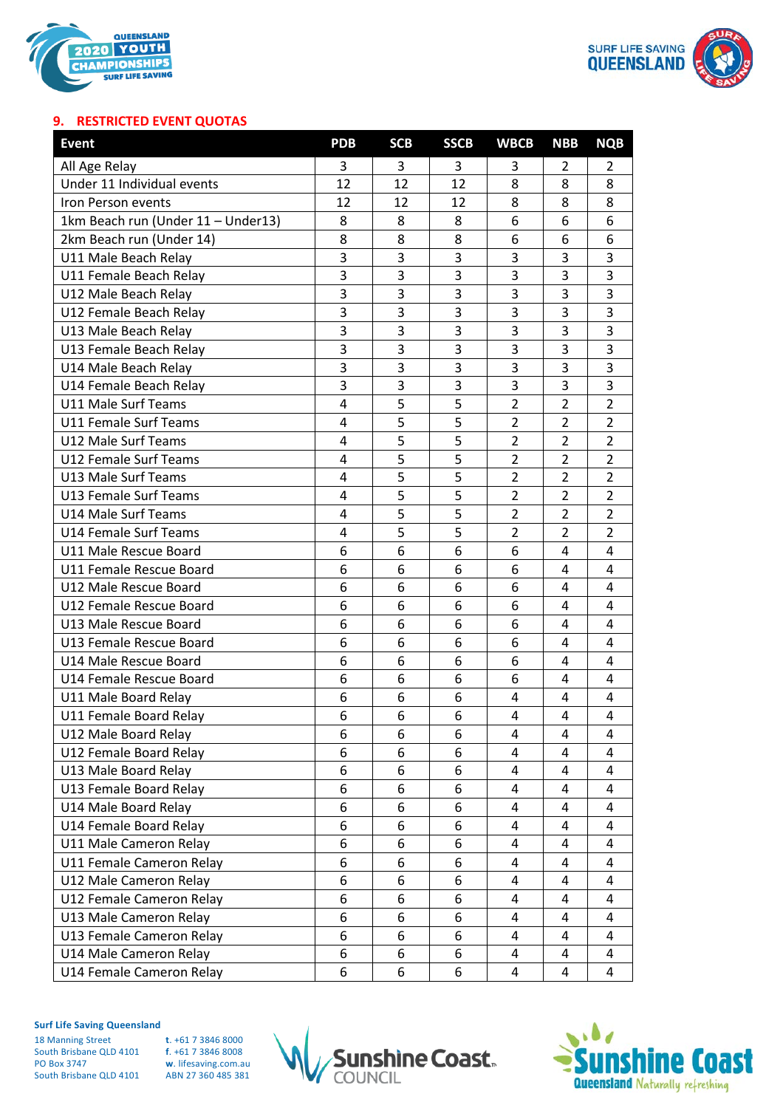



## **9. RESTRICTED EVENT QUOTAS**

| <b>Event</b>                       | <b>PDB</b> | <b>SCB</b> | <b>SSCB</b> | <b>WBCB</b>    | <b>NBB</b>     | <b>NQB</b>     |
|------------------------------------|------------|------------|-------------|----------------|----------------|----------------|
| All Age Relay                      | 3          | 3          | 3.          | 3              | 2              | 2              |
| Under 11 Individual events         | 12         | 12         | 12          | 8              | 8              | 8              |
| Iron Person events                 | 12         | 12         | 12          | 8              | 8              | 8              |
| 1km Beach run (Under 11 - Under13) | 8          | 8          | 8           | 6              | 6              | 6              |
| 2km Beach run (Under 14)           | 8          | 8          | 8           | 6              | 6              | 6              |
| U11 Male Beach Relay               | 3          | 3          | 3           | 3              | 3              | 3              |
| U11 Female Beach Relay             | 3          | 3          | 3           | 3              | 3              | 3              |
| U12 Male Beach Relay               | 3          | 3          | 3           | 3              | 3              | 3              |
| U12 Female Beach Relay             | 3          | 3          | 3           | 3              | 3              | 3              |
| U13 Male Beach Relay               | 3          | 3          | 3           | 3              | 3              | 3              |
| U13 Female Beach Relay             | 3          | 3          | 3           | 3              | 3              | 3              |
| U14 Male Beach Relay               | 3          | 3          | 3           | 3              | 3              | 3              |
| U14 Female Beach Relay             | 3          | 3          | 3           | 3              | 3              | 3              |
| <b>U11 Male Surf Teams</b>         | 4          | 5          | 5           | $\overline{2}$ | $\overline{2}$ | $\overline{2}$ |
| <b>U11 Female Surf Teams</b>       | 4          | 5          | 5           | $\overline{2}$ | $\overline{2}$ | $\overline{2}$ |
| U12 Male Surf Teams                | 4          | 5          | 5           | $\overline{2}$ | $\overline{2}$ | $\overline{2}$ |
| U12 Female Surf Teams              | 4          | 5          | 5           | $\overline{2}$ | 2              | $\overline{2}$ |
| U13 Male Surf Teams                | 4          | 5          | 5           | 2              | $\overline{2}$ | 2              |
| <b>U13 Female Surf Teams</b>       | 4          | 5          | 5           | $\overline{2}$ | $\overline{2}$ | $\overline{2}$ |
| <b>U14 Male Surf Teams</b>         | 4          | 5          | 5           | $\overline{2}$ | $\overline{2}$ | $\overline{2}$ |
| <b>U14 Female Surf Teams</b>       | 4          | 5          | 5           | $\overline{2}$ | $\overline{2}$ | $\overline{2}$ |
| U11 Male Rescue Board              | 6          | 6          | 6           | 6              | 4              | 4              |
| U11 Female Rescue Board            | 6          | 6          | 6           | 6              | 4              | 4              |
| U12 Male Rescue Board              | 6          | 6          | 6           | 6              | 4              | 4              |
| U12 Female Rescue Board            | 6          | 6          | 6           | 6              | 4              | 4              |
| U13 Male Rescue Board              | 6          | 6          | 6           | 6              | 4              | 4              |
| U13 Female Rescue Board            | 6          | 6          | 6           | 6              | 4              | 4              |
| U14 Male Rescue Board              | 6          | 6          | 6           | 6              | 4              | 4              |
| U14 Female Rescue Board            | 6          | 6          | 6           | 6              | 4              | 4              |
| U11 Male Board Relay               | 6          | 6          | 6           | 4              | 4              | 4              |
| U11 Female Board Relay             | 6          | 6          | 6           | 4              | 4              | 4              |
| U12 Male Board Relay               | 6          | 6          | 6           | 4              | 4              | 4              |
| U12 Female Board Relay             | 6          | 6          | 6           | 4              | 4              | 4              |
| U13 Male Board Relay               | 6          | 6          | 6           | 4              | 4              | 4              |
| U13 Female Board Relay             | 6          | 6          | 6           | 4              | 4              | 4              |
| U14 Male Board Relay               | 6          | 6          | 6           | 4              | 4              | 4              |
| U14 Female Board Relay             | 6          | 6          | 6           | 4              | 4              | 4              |
| U11 Male Cameron Relay             | 6          | 6          | 6           | 4              | 4              | 4              |
| U11 Female Cameron Relay           | 6          | 6          | 6           | 4              | 4              | 4              |
| U12 Male Cameron Relay             | 6          | 6          | 6           | 4              | 4              | 4              |
| U12 Female Cameron Relay           | 6          | 6          | 6           | 4              | 4              | 4              |
| U13 Male Cameron Relay             | 6          | 6          | 6           | 4              | 4              | 4              |
| U13 Female Cameron Relay           | 6          | 6          | 6           | 4              | 4              | 4              |
| U14 Male Cameron Relay             | 6          | 6          | 6           | 4              | 4              | 4              |
| U14 Female Cameron Relay           | 6          | 6          | 6           | 4              | 4              | 4              |

**Surf Life Saving Queensland**

18 Manning Street **t**. +61 7 3846 8000 South Brisbane QLD 4101<br>PO Box 3747 South Brisbane QLD 4101





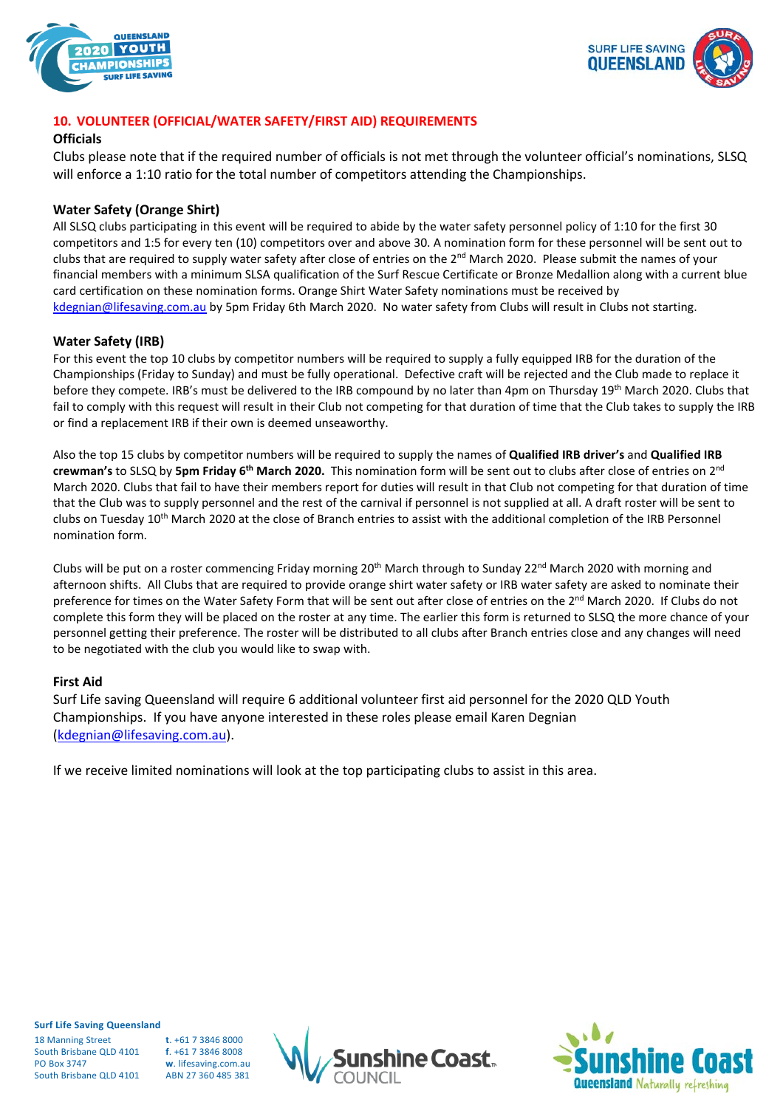



# **10. VOLUNTEER (OFFICIAL/WATER SAFETY/FIRST AID) REQUIREMENTS**

#### **Officials**

Clubs please note that if the required number of officials is not met through the volunteer official's nominations, SLSQ will enforce a 1:10 ratio for the total number of competitors attending the Championships.

#### **Water Safety (Orange Shirt)**

All SLSQ clubs participating in this event will be required to abide by the water safety personnel policy of 1:10 for the first 30 competitors and 1:5 for every ten (10) competitors over and above 30. A nomination form for these personnel will be sent out to clubs that are required to supply water safety after close of entries on the 2<sup>nd</sup> March 2020. Please submit the names of your financial members with a minimum SLSA qualification of the Surf Rescue Certificate or Bronze Medallion along with a current blue card certification on these nomination forms. Orange Shirt Water Safety nominations must be received by [kdegnian@lifesaving.com.au](mailto:kdegnian@lifesaving.com.au) by 5pm Friday 6th March 2020. No water safety from Clubs will result in Clubs not starting.

#### **Water Safety (IRB)**

For this event the top 10 clubs by competitor numbers will be required to supply a fully equipped IRB for the duration of the Championships (Friday to Sunday) and must be fully operational. Defective craft will be rejected and the Club made to replace it before they compete. IRB's must be delivered to the IRB compound by no later than 4pm on Thursday 19<sup>th</sup> March 2020. Clubs that fail to comply with this request will result in their Club not competing for that duration of time that the Club takes to supply the IRB or find a replacement IRB if their own is deemed unseaworthy.

Also the top 15 clubs by competitor numbers will be required to supply the names of **Qualified IRB driver's** and **Qualified IRB crewman's** to SLSQ by **5pm Friday 6th March 2020.** This nomination form will be sent out to clubs after close of entries on 2nd March 2020. Clubs that fail to have their members report for duties will result in that Club not competing for that duration of time that the Club was to supply personnel and the rest of the carnival if personnel is not supplied at all. A draft roster will be sent to clubs on Tuesday 10<sup>th</sup> March 2020 at the close of Branch entries to assist with the additional completion of the IRB Personnel nomination form.

Clubs will be put on a roster commencing Friday morning  $20<sup>th</sup>$  March through to Sunday 22<sup>nd</sup> March 2020 with morning and afternoon shifts. All Clubs that are required to provide orange shirt water safety or IRB water safety are asked to nominate their preference for times on the Water Safety Form that will be sent out after close of entries on the 2<sup>nd</sup> March 2020. If Clubs do not complete this form they will be placed on the roster at any time. The earlier this form is returned to SLSQ the more chance of your personnel getting their preference. The roster will be distributed to all clubs after Branch entries close and any changes will need to be negotiated with the club you would like to swap with.

### **First Aid**

Surf Life saving Queensland will require 6 additional volunteer first aid personnel for the 2020 QLD Youth Championships. If you have anyone interested in these roles please email Karen Degnian [\(kdegnian@lifesaving.com.au\)](mailto:kdegnian@lifesaving.com.au).

If we receive limited nominations will look at the top participating clubs to assist in this area.

**Surf Life Saving Queensland**

18 Manning Street **t**. +61 7 3846 8000 South Brisbane QLD 4101 **f**. +61 7 3846 8008 PO Box 3747 **w**. lifesaving.com.au South Brisbane OLD 4101 ABN 27 360 485 381



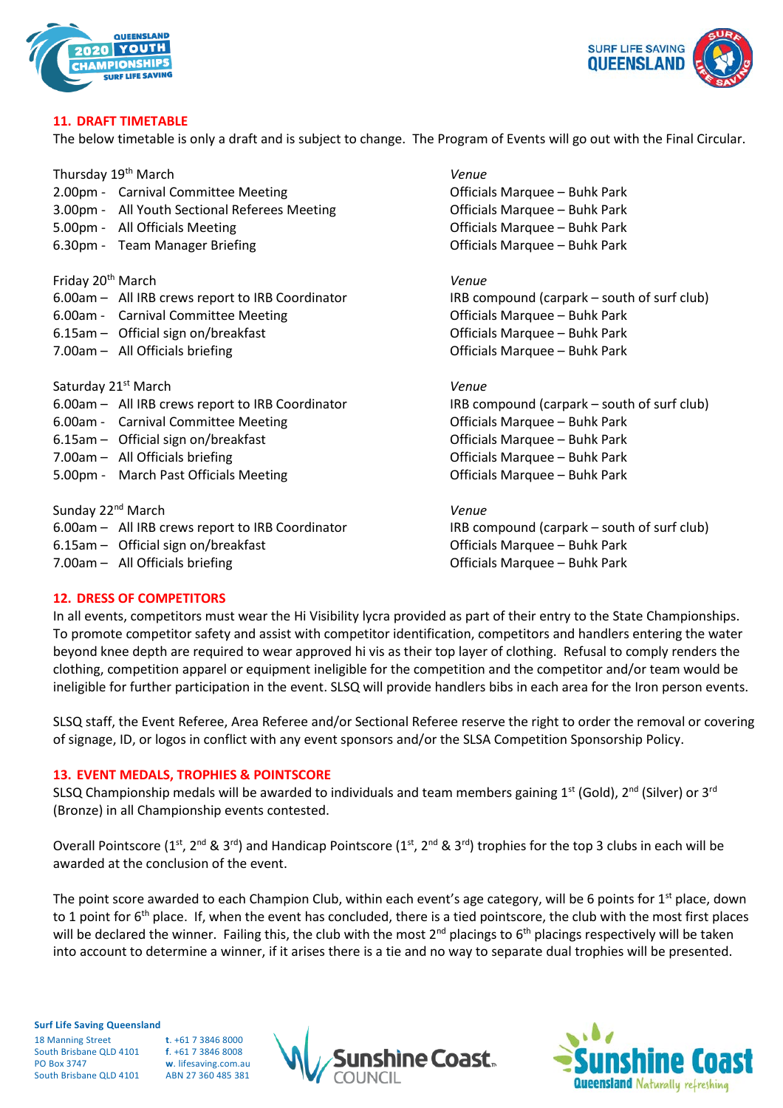



#### **11. DRAFT TIMETABLE**

The below timetable is only a draft and is subject to change. The Program of Events will go out with the Final Circular.

Thursday 19th March *Venue*

- 2.00pm Carnival Committee Meeting Communication Control officials Marquee Buhk Park
- 3.00pm All Youth Sectional Referees Meeting Officials Marquee Buhk Park
- 
- 6.30pm Team Manager Briefing Communication Control officials Marquee Buhk Park

Friday 20th March *Venue*

- 6.00am All IRB crews report to IRB Coordinator IRB compound (carpark south of surf club)
- 6.00am Carnival Committee Meeting Communication Control of Tricials Marquee Buhk Park
- 6.15am Official sign on/breakfast Officials Marquee Buhk Park
- 7.00am All Officials briefing Chronic Chronic Late of Chronic Chronic Chronic Chronic Chronic Chronic Chronic Chronic Chronic Chronic Chronic Chronic Chronic Chronic Chronic Chronic Chronic Chronic Chronic Chronic Chroni

Saturday 21st March *Venue*

- 6.00am All IRB crews report to IRB Coordinator IRB compound (carpark south of surf club)
- 6.00am Carnival Committee Meeting Communication Control of Tricials Marquee Buhk Park
- 6.15am Official sign on/breakfast Officials Marquee Buhk Park
- 
- 5.00pm March Past Officials Meeting Channel Controller Controller Marquee Buhk Park

Sunday 22nd March *Venue* 6.00am – All IRB crews report to IRB Coordinator IRB compound (carpark – south of surf club) 6.15am – Official sign on/breakfast Chronic Controller Controller Controller Controller Controller Officials Marquee – Buhk Park 7.00am – All Officials briefing Care Controller and Controller Controller Marquee – Buhk Park

5.00pm - All Officials Meeting **Contains a Container Contains Contains Act Officials Marquee – Buhk Park** 

7.00am – All Officials briefing Care Controller and Controller Controller Marquee – Buhk Park

### **12. DRESS OF COMPETITORS**

In all events, competitors must wear the Hi Visibility lycra provided as part of their entry to the State Championships. To promote competitor safety and assist with competitor identification, competitors and handlers entering the water beyond knee depth are required to wear approved hi vis as their top layer of clothing. Refusal to comply renders the clothing, competition apparel or equipment ineligible for the competition and the competitor and/or team would be ineligible for further participation in the event. SLSQ will provide handlers bibs in each area for the Iron person events.

SLSQ staff, the Event Referee, Area Referee and/or Sectional Referee reserve the right to order the removal or covering of signage, ID, or logos in conflict with any event sponsors and/or the SLSA Competition Sponsorship Policy.

#### **13. EVENT MEDALS, TROPHIES & POINTSCORE**

SLSQ Championship medals will be awarded to individuals and team members gaining  $1^{st}$  (Gold),  $2^{nd}$  (Silver) or  $3^{rd}$ (Bronze) in all Championship events contested.

Overall Pointscore (1<sup>st</sup>, 2<sup>nd</sup> & 3<sup>rd</sup>) and Handicap Pointscore (1<sup>st</sup>, 2<sup>nd</sup> & 3<sup>rd</sup>) trophies for the top 3 clubs in each will be awarded at the conclusion of the event.

The point score awarded to each Champion Club, within each event's age category, will be 6 points for  $1<sup>st</sup>$  place, down to 1 point for  $6<sup>th</sup>$  place. If, when the event has concluded, there is a tied pointscore, the club with the most first places will be declared the winner. Failing this, the club with the most  $2^{nd}$  placings to  $6^{th}$  placings respectively will be taken into account to determine a winner, if it arises there is a tie and no way to separate dual trophies will be presented.

**Surf Life Saving Queensland** 18 Manning Street **t**. +61 7 3846 8000

South Brisbane QLD 4101 **f**. +61 7 3846 8008 PO Box 3747 **w**. lifesaving.com.au South Brisbane OLD 4101



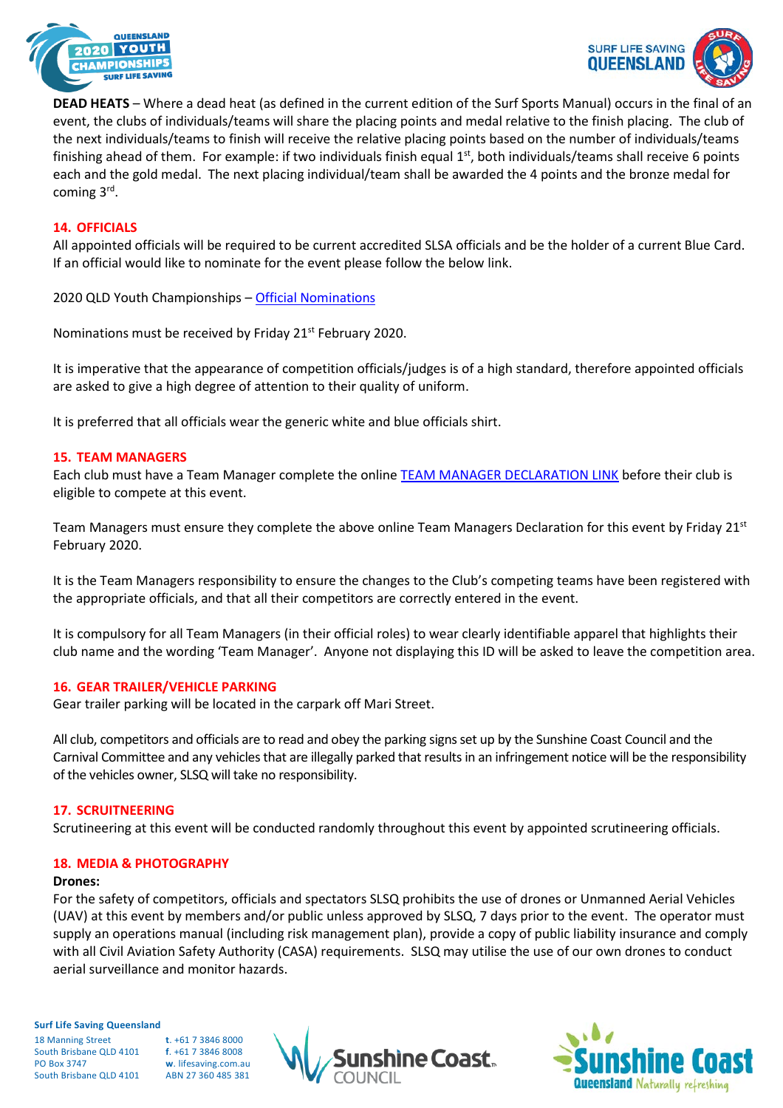



**DEAD HEATS** – Where a dead heat (as defined in the current edition of the Surf Sports Manual) occurs in the final of an event, the clubs of individuals/teams will share the placing points and medal relative to the finish placing. The club of the next individuals/teams to finish will receive the relative placing points based on the number of individuals/teams finishing ahead of them. For example: if two individuals finish equal  $1<sup>st</sup>$ , both individuals/teams shall receive 6 points each and the gold medal. The next placing individual/team shall be awarded the 4 points and the bronze medal for coming 3rd.

### **14. OFFICIALS**

All appointed officials will be required to be current accredited SLSA officials and be the holder of a current Blue Card. If an official would like to nominate for the event please follow the below link.

2020 QLD Youth Championships – [Official Nominations](https://www.surveymonkey.com/r/BVWVSRC)

Nominations must be received by Friday 21<sup>st</sup> February 2020.

It is imperative that the appearance of competition officials/judges is of a high standard, therefore appointed officials are asked to give a high degree of attention to their quality of uniform.

It is preferred that all officials wear the generic white and blue officials shirt.

#### **15. TEAM MANAGERS**

Each club must have a Team Manager complete the online [TEAM MANAGER DECLARATION LINK](https://www.surveymonkey.com/r/FD6HZ2V) before their club is eligible to compete at this event.

Team Managers must ensure they complete the above online Team Managers Declaration for this event by Friday 21st February 2020.

It is the Team Managers responsibility to ensure the changes to the Club's competing teams have been registered with the appropriate officials, and that all their competitors are correctly entered in the event.

It is compulsory for all Team Managers (in their official roles) to wear clearly identifiable apparel that highlights their club name and the wording 'Team Manager'. Anyone not displaying this ID will be asked to leave the competition area.

### **16. GEAR TRAILER/VEHICLE PARKING**

Gear trailer parking will be located in the carpark off Mari Street.

All club, competitors and officials are to read and obey the parking signs set up by the Sunshine Coast Council and the Carnival Committee and any vehicles that are illegally parked that results in an infringement notice will be the responsibility of the vehicles owner, SLSQ will take no responsibility.

### **17. SCRUITNEERING**

Scrutineering at this event will be conducted randomly throughout this event by appointed scrutineering officials.

#### **18. MEDIA & PHOTOGRAPHY**

#### **Drones:**

For the safety of competitors, officials and spectators SLSQ prohibits the use of drones or Unmanned Aerial Vehicles (UAV) at this event by members and/or public unless approved by SLSQ, 7 days prior to the event. The operator must supply an operations manual (including risk management plan), provide a copy of public liability insurance and comply with all Civil Aviation Safety Authority (CASA) requirements. SLSQ may utilise the use of our own drones to conduct aerial surveillance and monitor hazards.

**Surf Life Saving Queensland**

18 Manning Street **t**. +61 7 3846 8000 South Brisbane QLD 4101 **f**. +61 7 3846 8008<br>PO Box 3747 **w**. lifesaving.com.a w. lifesaving.com.au South Brisbane OLD 4101 ABN 27 360 485 381

ne Coast..

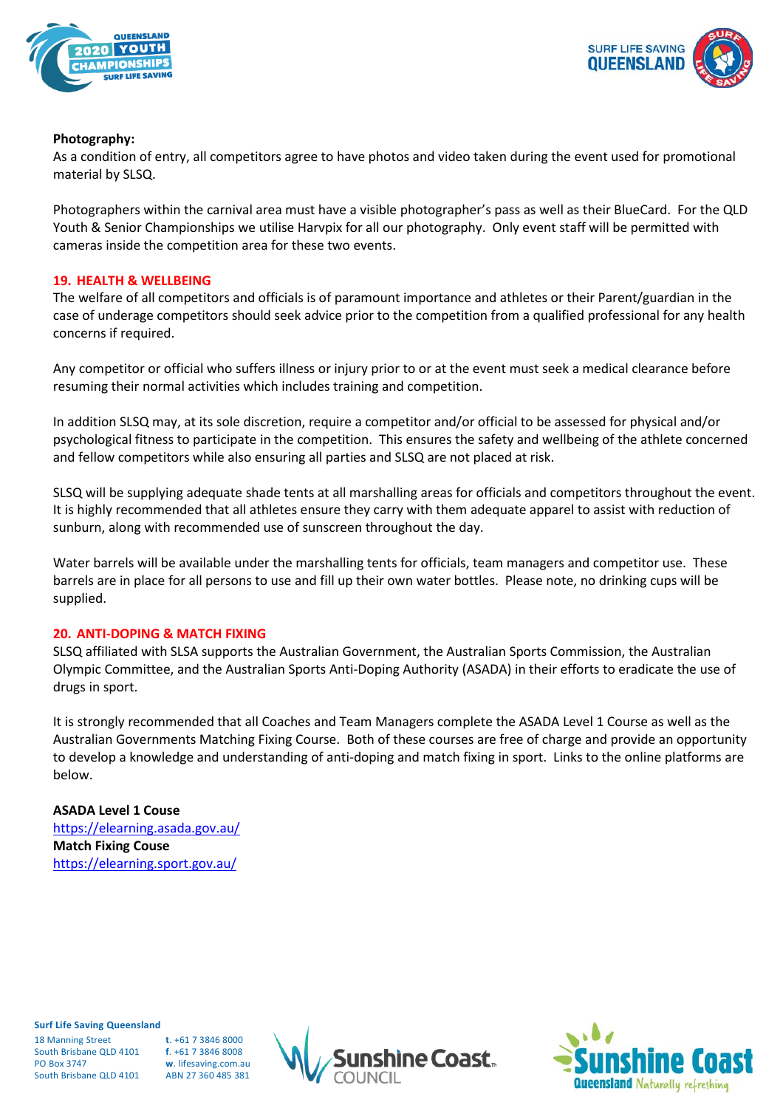



#### **Photography:**

As a condition of entry, all competitors agree to have photos and video taken during the event used for promotional material by SLSQ.

Photographers within the carnival area must have a visible photographer's pass as well as their BlueCard. For the QLD Youth & Senior Championships we utilise Harvpix for all our photography. Only event staff will be permitted with cameras inside the competition area for these two events.

#### **19. HEALTH & WELLBEING**

The welfare of all competitors and officials is of paramount importance and athletes or their Parent/guardian in the case of underage competitors should seek advice prior to the competition from a qualified professional for any health concerns if required.

Any competitor or official who suffers illness or injury prior to or at the event must seek a medical clearance before resuming their normal activities which includes training and competition.

In addition SLSQ may, at its sole discretion, require a competitor and/or official to be assessed for physical and/or psychological fitness to participate in the competition. This ensures the safety and wellbeing of the athlete concerned and fellow competitors while also ensuring all parties and SLSQ are not placed at risk.

SLSQ will be supplying adequate shade tents at all marshalling areas for officials and competitors throughout the event. It is highly recommended that all athletes ensure they carry with them adequate apparel to assist with reduction of sunburn, along with recommended use of sunscreen throughout the day.

Water barrels will be available under the marshalling tents for officials, team managers and competitor use. These barrels are in place for all persons to use and fill up their own water bottles. Please note, no drinking cups will be supplied.

### **20. ANTI-DOPING & MATCH FIXING**

SLSQ affiliated with SLSA supports the Australian Government, the Australian Sports Commission, the Australian Olympic Committee, and the Australian Sports Anti-Doping Authority (ASADA) in their efforts to eradicate the use of drugs in sport.

It is strongly recommended that all Coaches and Team Managers complete the ASADA Level 1 Course as well as the Australian Governments Matching Fixing Course. Both of these courses are free of charge and provide an opportunity to develop a knowledge and understanding of anti-doping and match fixing in sport. Links to the online platforms are below.

### **ASADA Level 1 Couse**

<https://elearning.asada.gov.au/> **Match Fixing Couse** <https://elearning.sport.gov.au/>

**Surf Life Saving Queensland**

18 Manning Street **t**. +61 7 3846 8000 South Brisbane QLD 4101 **f**. +61 7 3846 8008 PO Box 3747 **w**. lifesaving.com.au South Brisbane OLD 4101